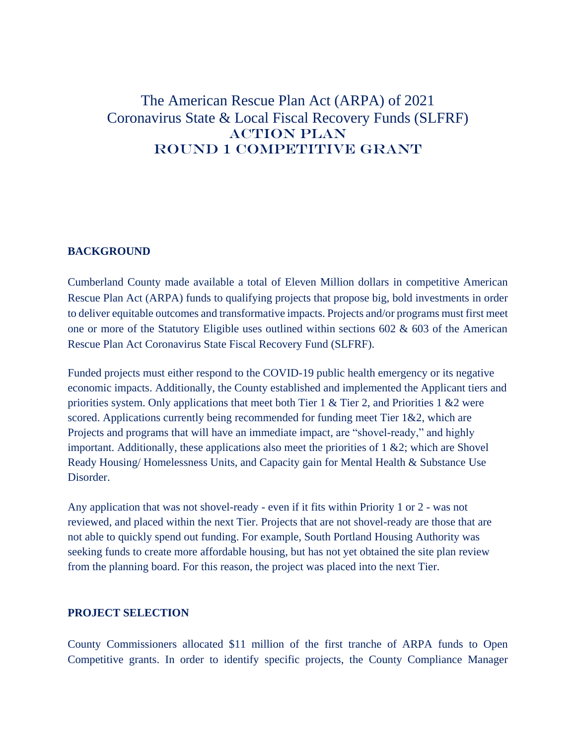# The American Rescue Plan Act (ARPA) of 2021 Coronavirus State & Local Fiscal Recovery Funds (SLFRF) ACTION PLAN ROUND 1 COMPETITIVE GRANT

# **BACKGROUND**

Cumberland County made available a total of Eleven Million dollars in competitive American Rescue Plan Act (ARPA) funds to qualifying projects that propose big, bold investments in order to deliver equitable outcomes and transformative impacts. Projects and/or programs must first meet one or more of the Statutory Eligible uses outlined within sections 602 & 603 of the American Rescue Plan Act Coronavirus State Fiscal Recovery Fund (SLFRF).

Funded projects must either respond to the COVID-19 public health emergency or its negative economic impacts. Additionally, the County established and implemented the Applicant tiers and priorities system. Only applications that meet both Tier 1 & Tier 2, and Priorities 1 &2 were scored. Applications currently being recommended for funding meet Tier 1&2, which are Projects and programs that will have an immediate impact, are "shovel-ready," and highly important. Additionally, these applications also meet the priorities of  $1 \& 2$ ; which are Shovel Ready Housing/ Homelessness Units, and Capacity gain for Mental Health & Substance Use Disorder.

Any application that was not shovel-ready - even if it fits within Priority 1 or 2 - was not reviewed, and placed within the next Tier. Projects that are not shovel-ready are those that are not able to quickly spend out funding. For example, South Portland Housing Authority was seeking funds to create more affordable housing, but has not yet obtained the site plan review from the planning board. For this reason, the project was placed into the next Tier.

### **PROJECT SELECTION**

County Commissioners allocated \$11 million of the first tranche of ARPA funds to Open Competitive grants. In order to identify specific projects, the County Compliance Manager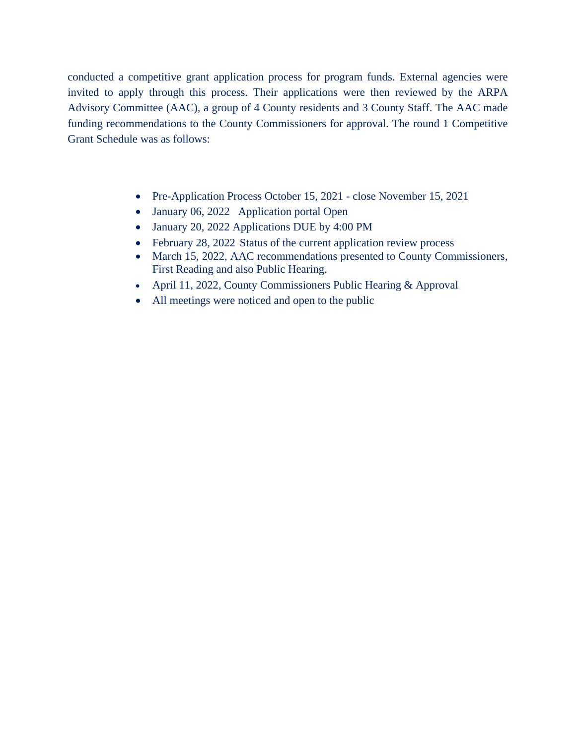conducted a competitive grant application process for program funds. External agencies were invited to apply through this process. Their applications were then reviewed by the ARPA Advisory Committee (AAC), a group of 4 County residents and 3 County Staff. The AAC made funding recommendations to the County Commissioners for approval. The round 1 Competitive Grant Schedule was as follows:

- Pre-Application Process October 15, 2021 close November 15, 2021
- January 06, 2022 Application portal Open
- January 20, 2022 Applications DUE by 4:00 PM
- February 28, 2022 Status of the current application review process
- March 15, 2022, AAC recommendations presented to County Commissioners, First Reading and also Public Hearing.
- April 11, 2022, County Commissioners Public Hearing & Approval
- All meetings were noticed and open to the public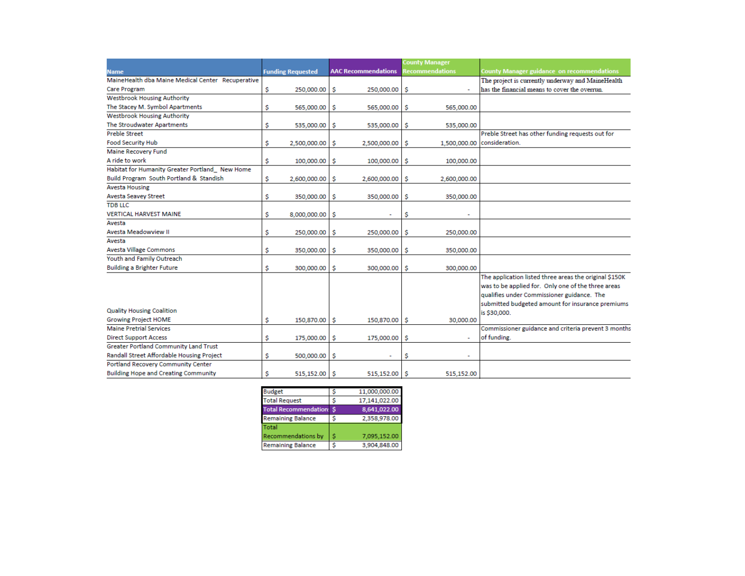|                                                   |                          |                            | <b>County Manager</b>  |                                                                                                              |
|---------------------------------------------------|--------------------------|----------------------------|------------------------|--------------------------------------------------------------------------------------------------------------|
| <b>Name</b>                                       | <b>Funding Requested</b> | <b>AAC Recommendations</b> | <b>Recommendations</b> | <b>County Manager guidance on recommendations</b>                                                            |
| MaineHealth dba Maine Medical Center Recuperative |                          |                            |                        | The project is currently underway and MaineHealth                                                            |
| Care Program                                      | \$<br>250,000.00         | s<br>250,000.00            | -S                     | has the financial means to cover the overrun.                                                                |
| <b>Westbrook Housing Authority</b>                |                          |                            |                        |                                                                                                              |
| The Stacey M. Symbol Apartments                   | \$<br>565,000.00         | s<br>565,000.00            | s<br>565,000.00        |                                                                                                              |
| <b>Westbrook Housing Authority</b>                |                          |                            |                        |                                                                                                              |
| The Stroudwater Apartments                        | \$<br>535,000.00         | s<br>535,000.00            | s<br>535,000.00        |                                                                                                              |
| Preble Street                                     |                          |                            |                        | Preble Street has other funding requests out for                                                             |
| <b>Food Security Hub</b>                          | \$<br>2,500,000.00       | s<br>2,500,000.00          | 1,500,000.00<br>s      | consideration.                                                                                               |
| Maine Recovery Fund                               |                          |                            |                        |                                                                                                              |
| A ride to work                                    | \$<br>100,000.00         | \$<br>100,000.00           | 100,000.00<br>\$       |                                                                                                              |
| Habitat for Humanity Greater Portland New Home    |                          |                            |                        |                                                                                                              |
| Build Program South Portland & Standish           | \$<br>2,600,000.00       | s<br>2,600,000.00          | s<br>2,600,000.00      |                                                                                                              |
| <b>Avesta Housing</b>                             |                          |                            |                        |                                                                                                              |
| <b>Avesta Seavey Street</b>                       | \$<br>350,000.00         | \$<br>350,000.00           | s<br>350,000.00        |                                                                                                              |
| <b>TDB LLC</b>                                    |                          |                            |                        |                                                                                                              |
| <b>VERTICAL HARVEST MAINE</b>                     | \$<br>8,000,000.00       | \$                         | \$                     |                                                                                                              |
| Avesta                                            |                          |                            |                        |                                                                                                              |
| Avesta Meadowview II                              | \$<br>250,000.00         | \$<br>250,000.00           | s<br>250,000.00        |                                                                                                              |
| Avesta                                            |                          |                            |                        |                                                                                                              |
| <b>Avesta Village Commons</b>                     | \$<br>350,000.00         | s<br>350,000.00            | s<br>350,000.00        |                                                                                                              |
| Youth and Family Outreach                         |                          |                            |                        |                                                                                                              |
| <b>Building a Brighter Future</b>                 | \$<br>300,000.00         | s<br>300,000.00            | 300,000.00<br>s        |                                                                                                              |
|                                                   |                          |                            |                        | The application listed three areas the original \$150K<br>was to be applied for. Only one of the three areas |
|                                                   |                          |                            |                        | qualifies under Commissioner guidance. The                                                                   |
|                                                   |                          |                            |                        | submitted budgeted amount for insurance premiums                                                             |
| <b>Quality Housing Coalition</b>                  |                          |                            |                        | is \$30,000.                                                                                                 |
| <b>Growing Project HOME</b>                       | \$<br>150,870.00 \$      | 150,870.00 \$              | 30,000.00              |                                                                                                              |
| <b>Maine Pretrial Services</b>                    |                          |                            |                        | Commissioner guidance and criteria prevent 3 months                                                          |
| <b>Direct Support Access</b>                      | \$<br>175,000.00         | s<br>175,000.00            | s                      | of funding.                                                                                                  |
| <b>Greater Portland Community Land Trust</b>      |                          |                            |                        |                                                                                                              |
| Randall Street Affordable Housing Project         | \$<br>500,000.00         | \$                         | \$                     |                                                                                                              |
| Portland Recovery Community Center                |                          |                            |                        |                                                                                                              |
| <b>Building Hope and Creating Community</b>       | \$<br>515.152.00 S       | 515.152.00                 | 515.152.00<br>-S       |                                                                                                              |

| <b>Budget</b>                |   | 11,000,000.00 |
|------------------------------|---|---------------|
| <b>Total Request</b>         | s | 17,141,022.00 |
| <b>Total Recommendation:</b> | S | 8,641,022.00  |
| <b>Remaining Balance</b>     | s | 2,358,978.00  |
| Total                        |   |               |
| Recommendations by           | s | 7,095,152.00  |
| <b>Remaining Balance</b>     | S | 3,904,848.00  |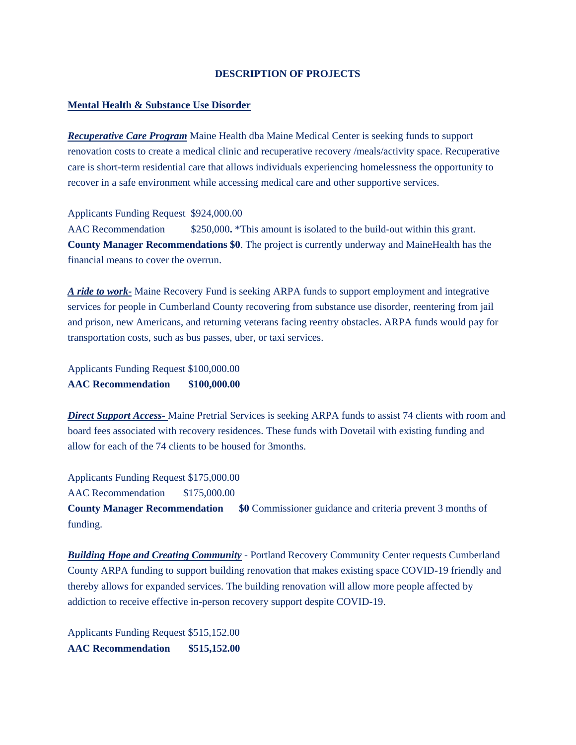#### **DESCRIPTION OF PROJECTS**

#### **Mental Health & Substance Use Disorder**

*Recuperative Care Program* Maine Health dba Maine Medical Center is seeking funds to support renovation costs to create a medical clinic and recuperative recovery /meals/activity space. Recuperative care is short-term residential care that allows individuals experiencing homelessness the opportunity to recover in a safe environment while accessing medical care and other supportive services.

Applicants Funding Request \$924,000.00

AAC Recommendation  $$250,000$ . *\*This amount is isolated to the build-out within this grant.* **County Manager Recommendations \$0**. The project is currently underway and MaineHealth has the financial means to cover the overrun.

*A ride to work-* Maine Recovery Fund is seeking ARPA funds to support employment and integrative services for people in Cumberland County recovering from substance use disorder, reentering from jail and prison, new Americans, and returning veterans facing reentry obstacles. ARPA funds would pay for transportation costs, such as bus passes, uber, or taxi services.

Applicants Funding Request \$100,000.00 **AAC Recommendation \$100,000.00**

*Direct Support Access-* Maine Pretrial Services is seeking ARPA funds to assist 74 clients with room and board fees associated with recovery residences. These funds with Dovetail with existing funding and allow for each of the 74 clients to be housed for 3months.

Applicants Funding Request \$175,000.00

AAC Recommendation \$175,000.00

**County Manager Recommendation \$0** Commissioner guidance and criteria prevent 3 months of funding.

*Building Hope and Creating Community* - Portland Recovery Community Center requests Cumberland County ARPA funding to support building renovation that makes existing space COVID-19 friendly and thereby allows for expanded services. The building renovation will allow more people affected by addiction to receive effective in-person recovery support despite COVID-19.

Applicants Funding Request \$515,152.00 **AAC Recommendation \$515,152.00**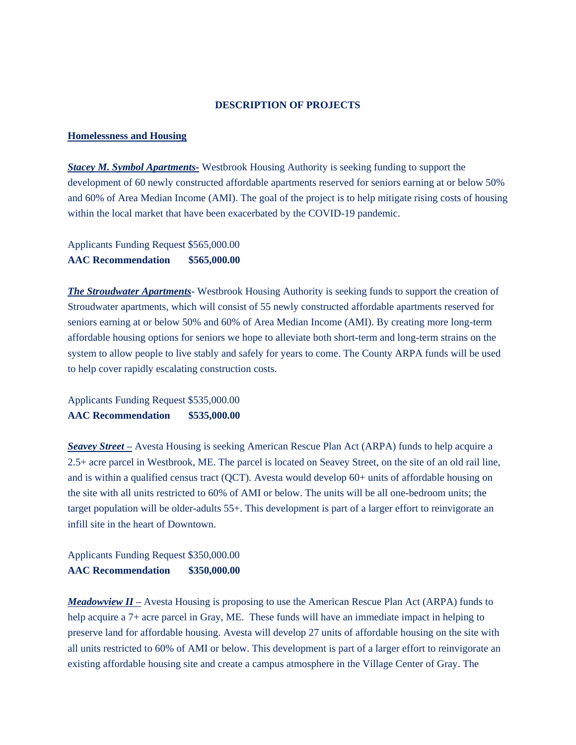#### **DESCRIPTION OF PROJECTS**

#### **Homelessness and Housing**

*Stacey M. Symbol Apartments-* Westbrook Housing Authority is seeking funding to support the development of 60 newly constructed affordable apartments reserved for seniors earning at or below 50% and 60% of Area Median Income (AMI). The goal of the project is to help mitigate rising costs of housing within the local market that have been exacerbated by the COVID-19 pandemic.

Applicants Funding Request \$565,000.00 **AAC Recommendation \$565,000.00**

*The Stroudwater Apartments*- Westbrook Housing Authority is seeking funds to support the creation of Stroudwater apartments, which will consist of 55 newly constructed affordable apartments reserved for seniors earning at or below 50% and 60% of Area Median Income (AMI). By creating more long-term affordable housing options for seniors we hope to alleviate both short-term and long-term strains on the system to allow people to live stably and safely for years to come. The County ARPA funds will be used to help cover rapidly escalating construction costs.

Applicants Funding Request \$535,000.00 **AAC Recommendation \$535,000.00**

*Seavey Street –* Avesta Housing is seeking American Rescue Plan Act (ARPA) funds to help acquire a 2.5+ acre parcel in Westbrook, ME. The parcel is located on Seavey Street, on the site of an old rail line, and is within a qualified census tract (QCT). Avesta would develop 60+ units of affordable housing on the site with all units restricted to 60% of AMI or below. The units will be all one-bedroom units; the target population will be older-adults 55+. This development is part of a larger effort to reinvigorate an infill site in the heart of Downtown.

Applicants Funding Request \$350,000.00 **AAC Recommendation \$350,000.00**

*Meadowview II –* Avesta Housing is proposing to use the American Rescue Plan Act (ARPA) funds to help acquire a 7+ acre parcel in Gray, ME. These funds will have an immediate impact in helping to preserve land for affordable housing. Avesta will develop 27 units of affordable housing on the site with all units restricted to 60% of AMI or below. This development is part of a larger effort to reinvigorate an existing affordable housing site and create a campus atmosphere in the Village Center of Gray. The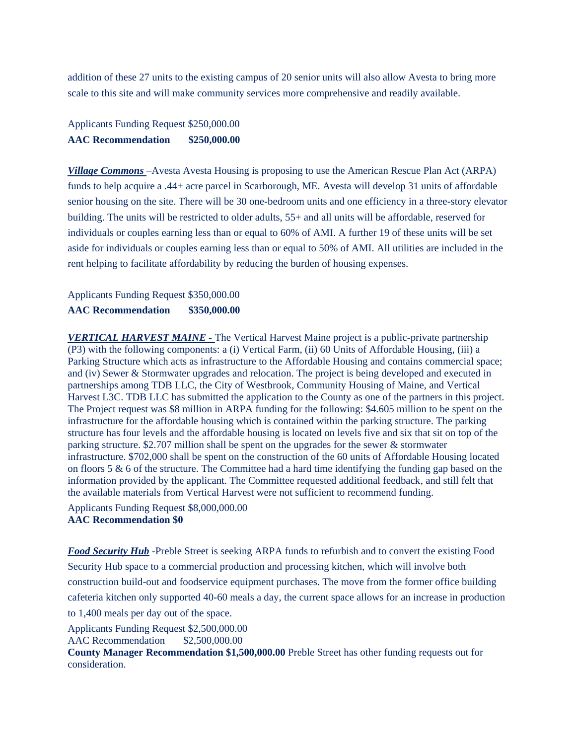addition of these 27 units to the existing campus of 20 senior units will also allow Avesta to bring more scale to this site and will make community services more comprehensive and readily available.

Applicants Funding Request \$250,000.00 **AAC Recommendation \$250,000.00**

*Village Commons* –Avesta Avesta Housing is proposing to use the American Rescue Plan Act (ARPA) funds to help acquire a .44+ acre parcel in Scarborough, ME. Avesta will develop 31 units of affordable senior housing on the site. There will be 30 one-bedroom units and one efficiency in a three-story elevator building. The units will be restricted to older adults, 55+ and all units will be affordable, reserved for individuals or couples earning less than or equal to 60% of AMI. A further 19 of these units will be set aside for individuals or couples earning less than or equal to 50% of AMI. All utilities are included in the rent helping to facilitate affordability by reducing the burden of housing expenses.

# Applicants Funding Request \$350,000.00 **AAC Recommendation \$350,000.00**

*VERTICAL HARVEST MAINE -* The Vertical Harvest Maine project is a public-private partnership (P3) with the following components: a (i) Vertical Farm, (ii) 60 Units of Affordable Housing, (iii) a Parking Structure which acts as infrastructure to the Affordable Housing and contains commercial space; and (iv) Sewer & Stormwater upgrades and relocation. The project is being developed and executed in partnerships among TDB LLC, the City of Westbrook, Community Housing of Maine, and Vertical Harvest L3C. TDB LLC has submitted the application to the County as one of the partners in this project. The Project request was \$8 million in ARPA funding for the following: \$4.605 million to be spent on the infrastructure for the affordable housing which is contained within the parking structure. The parking structure has four levels and the affordable housing is located on levels five and six that sit on top of the parking structure. \$2.707 million shall be spent on the upgrades for the sewer & stormwater infrastructure. \$702,000 shall be spent on the construction of the 60 units of Affordable Housing located on floors 5  $\&$  6 of the structure. The Committee had a hard time identifying the funding gap based on the information provided by the applicant. The Committee requested additional feedback, and still felt that the available materials from Vertical Harvest were not sufficient to recommend funding.

Applicants Funding Request \$8,000,000.00 **AAC Recommendation \$0**

*Food Security Hub* -Preble Street is seeking ARPA funds to refurbish and to convert the existing Food Security Hub space to a commercial production and processing kitchen, which will involve both construction build-out and foodservice equipment purchases. The move from the former office building cafeteria kitchen only supported 40-60 meals a day, the current space allows for an increase in production to 1,400 meals per day out of the space.

Applicants Funding Request \$2,500,000.00 AAC Recommendation \$2,500,000.00 **County Manager Recommendation \$1,500,000.00** Preble Street has other funding requests out for consideration.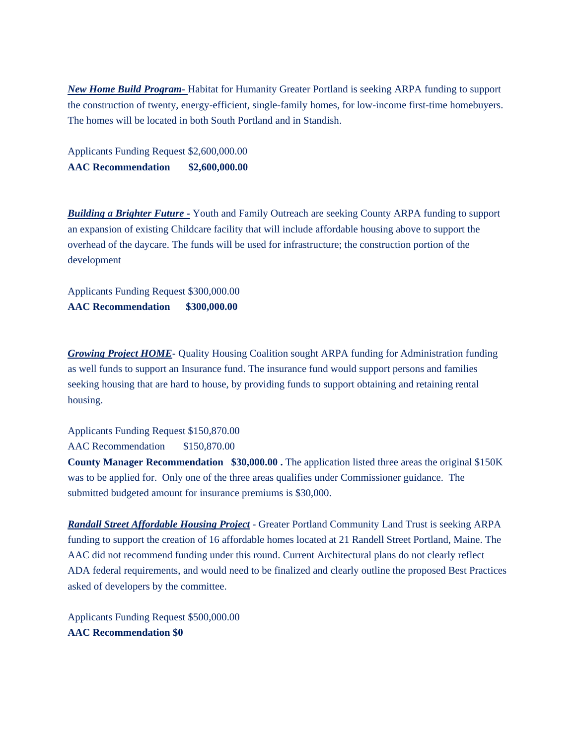*New Home Build Program-* Habitat for Humanity Greater Portland is seeking ARPA funding to support the construction of twenty, energy-efficient, single-family homes, for low-income first-time homebuyers. The homes will be located in both South Portland and in Standish.

Applicants Funding Request \$2,600,000.00 **AAC Recommendation \$2,600,000.00** 

*Building a Brighter Future -* Youth and Family Outreach are seeking County ARPA funding to support an expansion of existing Childcare facility that will include affordable housing above to support the overhead of the daycare. The funds will be used for infrastructure; the construction portion of the development

Applicants Funding Request \$300,000.00 **AAC Recommendation \$300,000.00** 

*Growing Project HOME*- Quality Housing Coalition sought ARPA funding for Administration funding as well funds to support an Insurance fund. The insurance fund would support persons and families seeking housing that are hard to house, by providing funds to support obtaining and retaining rental housing.

Applicants Funding Request \$150,870.00 AAC Recommendation \$150,870.00

**County Manager Recommendation \$30,000.00.** The application listed three areas the original \$150K was to be applied for. Only one of the three areas qualifies under Commissioner guidance. The submitted budgeted amount for insurance premiums is \$30,000.

*Randall Street Affordable Housing Project* - Greater Portland Community Land Trust is seeking ARPA funding to support the creation of 16 affordable homes located at 21 Randell Street Portland, Maine. The AAC did not recommend funding under this round. Current Architectural plans do not clearly reflect ADA federal requirements, and would need to be finalized and clearly outline the proposed Best Practices asked of developers by the committee.

Applicants Funding Request \$500,000.00 **AAC Recommendation \$0**